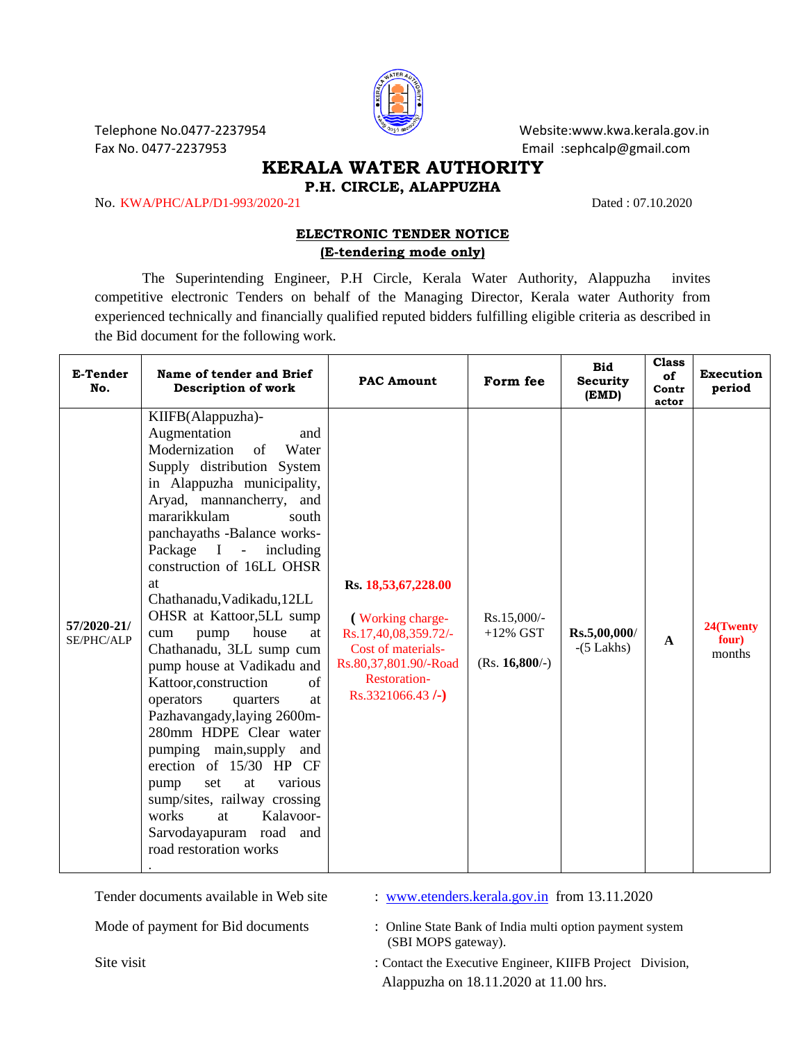

Telephone No.0477-2237954 Website:www.kwa.kerala.gov.in Fax No. 0477-2237953 Email :sephcalp@gmail.com

## **KERALA WATER AUTHORITY P.H. CIRCLE, ALAPPUZHA**

No. KWA/PHC/ALP/D1-993/2020-21 Dated : 07.10.2020

## **ELECTRONIC TENDER NOTICE (E-tendering mode only)**

The Superintending Engineer, P.H Circle, Kerala Water Authority, Alappuzha invites competitive electronic Tenders on behalf of the Managing Director, Kerala water Authority from experienced technically and financially qualified reputed bidders fulfilling eligible criteria as described in the Bid document for the following work.

| E-Tender<br>No.           | Name of tender and Brief<br>Description of work                                                                                                                                                                                                                                                                                                                                                                                                                                                                                                                                                                                                                                                                                                                           | <b>PAC Amount</b>                                                                                                                                              | Form fee                                         | <b>Bid</b><br><b>Security</b><br>(EMD) | <b>Class</b><br>of<br>Contr<br>actor | <b>Execution</b><br>period   |
|---------------------------|---------------------------------------------------------------------------------------------------------------------------------------------------------------------------------------------------------------------------------------------------------------------------------------------------------------------------------------------------------------------------------------------------------------------------------------------------------------------------------------------------------------------------------------------------------------------------------------------------------------------------------------------------------------------------------------------------------------------------------------------------------------------------|----------------------------------------------------------------------------------------------------------------------------------------------------------------|--------------------------------------------------|----------------------------------------|--------------------------------------|------------------------------|
| 57/2020-21/<br>SE/PHC/ALP | KIIFB(Alappuzha)-<br>Augmentation<br>and<br>Modernization<br>Water<br>of<br>Supply distribution System<br>in Alappuzha municipality,<br>Aryad, mannancherry, and<br>mararikkulam<br>south<br>panchayaths -Balance works-<br>Package I - including<br>construction of 16LL OHSR<br>at<br>Chathanadu, Vadikadu, 12LL<br>OHSR at Kattoor, 5LL sump<br>house<br>pump<br>at<br>cum<br>Chathanadu, 3LL sump cum<br>pump house at Vadikadu and<br>Kattoor, construction<br>of<br>operators<br>quarters<br>at<br>Pazhavangady, laying 2600m-<br>280mm HDPE Clear water<br>pumping main, supply<br>and<br>erection of 15/30 HP CF<br>set<br>at<br>various<br>pump<br>sump/sites, railway crossing<br>works<br>Kalavoor-<br>at<br>Sarvodayapuram road and<br>road restoration works | Rs. 18,53,67,228.00<br>(Working charge-<br>Rs.17,40,08,359.72/-<br>Cost of materials-<br>Rs.80,37,801.90/-Road<br><b>Restoration-</b><br>$Rs.3321066.43$ $(-)$ | $Rs.15,000/-$<br>$+12\%$ GST<br>$(Rs. 16,800/-)$ | Rs.5,00,000/<br>$-(5$ Lakhs)           | $\mathbf{A}$                         | 24(Twenty<br>four)<br>months |

Tender documents available in Web site : [www.etenders.kerala.gov.in](http://www.etenders.kerala.gov.in/) from 13.11.2020

Mode of payment for Bid documents : Online State Bank of India multi option payment system (SBI MOPS gateway).

Site visit : Contact the Executive Engineer, KIIFB Project Division, Alappuzha on 18.11.2020 at 11.00 hrs.